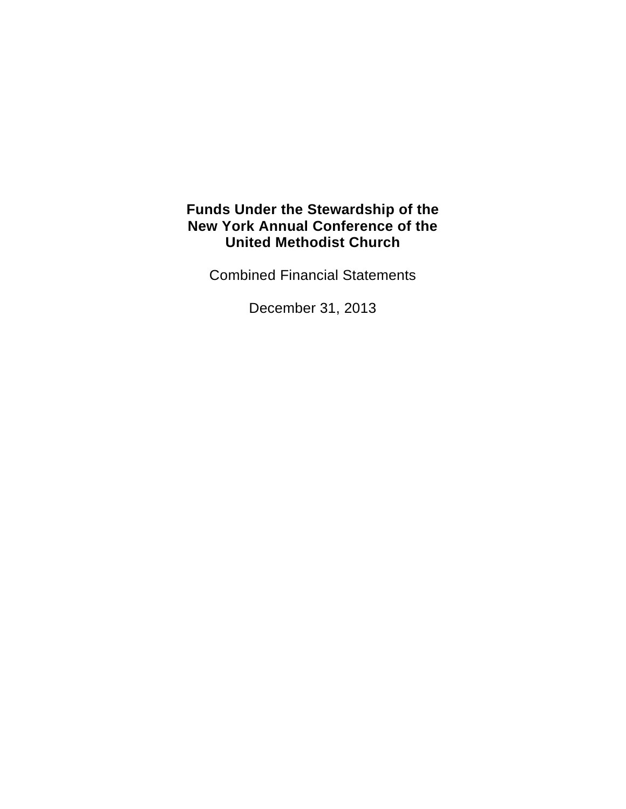Combined Financial Statements

December 31, 2013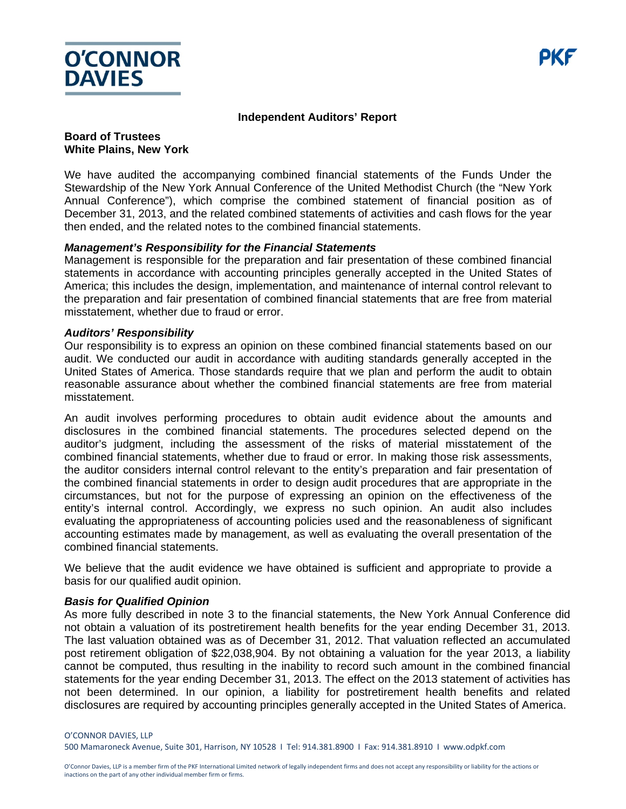

#### **Independent Auditors' Report**

#### **Board of Trustees White Plains, New York**

We have audited the accompanying combined financial statements of the Funds Under the Stewardship of the New York Annual Conference of the United Methodist Church (the "New York Annual Conference"), which comprise the combined statement of financial position as of December 31, 2013, and the related combined statements of activities and cash flows for the year then ended, and the related notes to the combined financial statements.

#### *Management's Responsibility for the Financial Statements*

Management is responsible for the preparation and fair presentation of these combined financial statements in accordance with accounting principles generally accepted in the United States of America; this includes the design, implementation, and maintenance of internal control relevant to the preparation and fair presentation of combined financial statements that are free from material misstatement, whether due to fraud or error.

#### *Auditors' Responsibility*

Our responsibility is to express an opinion on these combined financial statements based on our audit. We conducted our audit in accordance with auditing standards generally accepted in the United States of America. Those standards require that we plan and perform the audit to obtain reasonable assurance about whether the combined financial statements are free from material misstatement.

An audit involves performing procedures to obtain audit evidence about the amounts and disclosures in the combined financial statements. The procedures selected depend on the auditor's judgment, including the assessment of the risks of material misstatement of the combined financial statements, whether due to fraud or error. In making those risk assessments, the auditor considers internal control relevant to the entity's preparation and fair presentation of the combined financial statements in order to design audit procedures that are appropriate in the circumstances, but not for the purpose of expressing an opinion on the effectiveness of the entity's internal control. Accordingly, we express no such opinion. An audit also includes evaluating the appropriateness of accounting policies used and the reasonableness of significant accounting estimates made by management, as well as evaluating the overall presentation of the combined financial statements.

We believe that the audit evidence we have obtained is sufficient and appropriate to provide a basis for our qualified audit opinion.

#### *Basis for Qualified Opinion*

As more fully described in note 3 to the financial statements, the New York Annual Conference did not obtain a valuation of its postretirement health benefits for the year ending December 31, 2013. The last valuation obtained was as of December 31, 2012. That valuation reflected an accumulated post retirement obligation of \$22,038,904. By not obtaining a valuation for the year 2013, a liability cannot be computed, thus resulting in the inability to record such amount in the combined financial statements for the year ending December 31, 2013. The effect on the 2013 statement of activities has not been determined. In our opinion, a liability for postretirement health benefits and related disclosures are required by accounting principles generally accepted in the United States of America.

#### O'CONNOR DAVIES, LLP

500 Mamaroneck Avenue, Suite 301, Harrison, NY 10528 I Tel: 914.381.8900 I Fax: 914.381.8910 I www.odpkf.com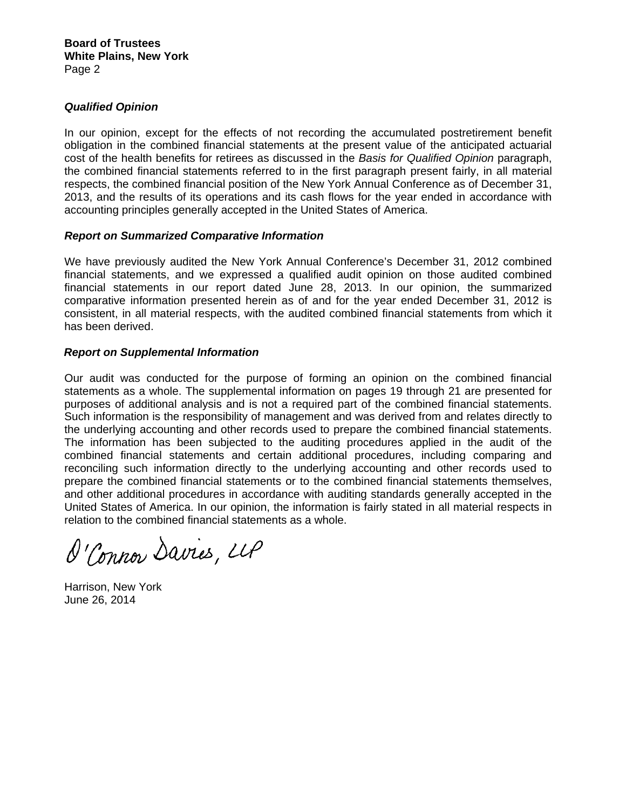#### *Qualified Opinion*

In our opinion, except for the effects of not recording the accumulated postretirement benefit obligation in the combined financial statements at the present value of the anticipated actuarial cost of the health benefits for retirees as discussed in the *Basis for Qualified Opinion* paragraph, the combined financial statements referred to in the first paragraph present fairly, in all material respects, the combined financial position of the New York Annual Conference as of December 31, 2013, and the results of its operations and its cash flows for the year ended in accordance with accounting principles generally accepted in the United States of America.

#### *Report on Summarized Comparative Information*

We have previously audited the New York Annual Conference's December 31, 2012 combined financial statements, and we expressed a qualified audit opinion on those audited combined financial statements in our report dated June 28, 2013. In our opinion, the summarized comparative information presented herein as of and for the year ended December 31, 2012 is consistent, in all material respects, with the audited combined financial statements from which it has been derived.

#### *Report on Supplemental Information*

Our audit was conducted for the purpose of forming an opinion on the combined financial statements as a whole. The supplemental information on pages 19 through 21 are presented for purposes of additional analysis and is not a required part of the combined financial statements. Such information is the responsibility of management and was derived from and relates directly to the underlying accounting and other records used to prepare the combined financial statements. The information has been subjected to the auditing procedures applied in the audit of the combined financial statements and certain additional procedures, including comparing and reconciling such information directly to the underlying accounting and other records used to prepare the combined financial statements or to the combined financial statements themselves, and other additional procedures in accordance with auditing standards generally accepted in the United States of America. In our opinion, the information is fairly stated in all material respects in relation to the combined financial statements as a whole.

O'Connor Davies, LLP

Harrison, New York June 26, 2014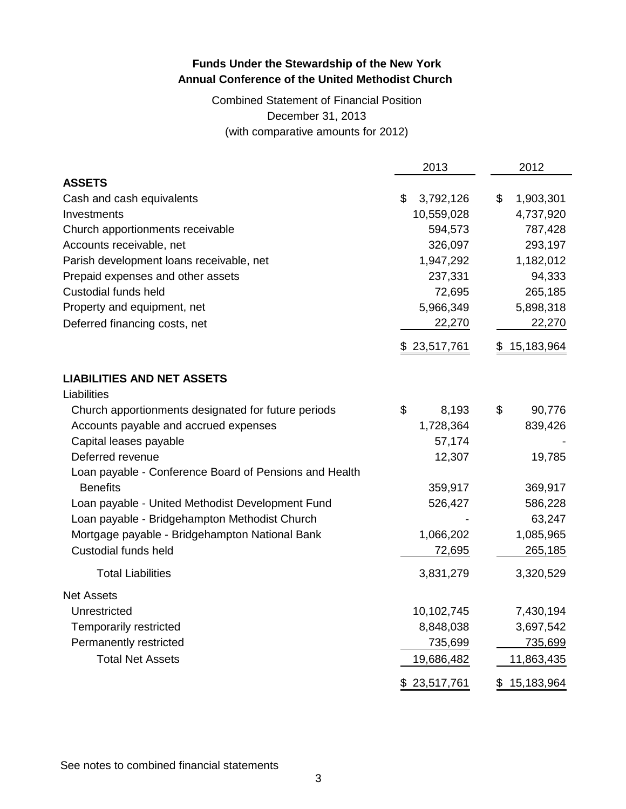## Combined Statement of Financial Position December 31, 2013 (with comparative amounts for 2012)

|                                                        | 2013            | 2012             |
|--------------------------------------------------------|-----------------|------------------|
| <b>ASSETS</b>                                          |                 |                  |
| Cash and cash equivalents                              | \$<br>3,792,126 | \$<br>1,903,301  |
| Investments                                            | 10,559,028      | 4,737,920        |
| Church apportionments receivable                       | 594,573         | 787,428          |
| Accounts receivable, net                               | 326,097         | 293,197          |
| Parish development loans receivable, net               | 1,947,292       | 1,182,012        |
| Prepaid expenses and other assets                      | 237,331         | 94,333           |
| <b>Custodial funds held</b>                            | 72,695          | 265,185          |
| Property and equipment, net                            | 5,966,349       | 5,898,318        |
| Deferred financing costs, net                          | 22,270          | 22,270           |
|                                                        | \$23,517,761    | 15,183,964<br>\$ |
| <b>LIABILITIES AND NET ASSETS</b>                      |                 |                  |
| Liabilities                                            |                 |                  |
| Church apportionments designated for future periods    | \$<br>8,193     | \$<br>90,776     |
| Accounts payable and accrued expenses                  | 1,728,364       | 839,426          |
| Capital leases payable                                 | 57,174          |                  |
| Deferred revenue                                       | 12,307          | 19,785           |
| Loan payable - Conference Board of Pensions and Health |                 |                  |
| <b>Benefits</b>                                        | 359,917         | 369,917          |
| Loan payable - United Methodist Development Fund       | 526,427         | 586,228          |
| Loan payable - Bridgehampton Methodist Church          |                 | 63,247           |
| Mortgage payable - Bridgehampton National Bank         | 1,066,202       | 1,085,965        |
| Custodial funds held                                   | 72,695          | 265,185          |
| <b>Total Liabilities</b>                               | 3,831,279       | 3,320,529        |
| <b>Net Assets</b>                                      |                 |                  |
| Unrestricted                                           | 10,102,745      | 7,430,194        |
| Temporarily restricted                                 | 8,848,038       | 3,697,542        |
| Permanently restricted                                 | 735,699         | 735,699          |
| <b>Total Net Assets</b>                                | 19,686,482      | 11,863,435       |
|                                                        | \$23,517,761    | 15,183,964<br>\$ |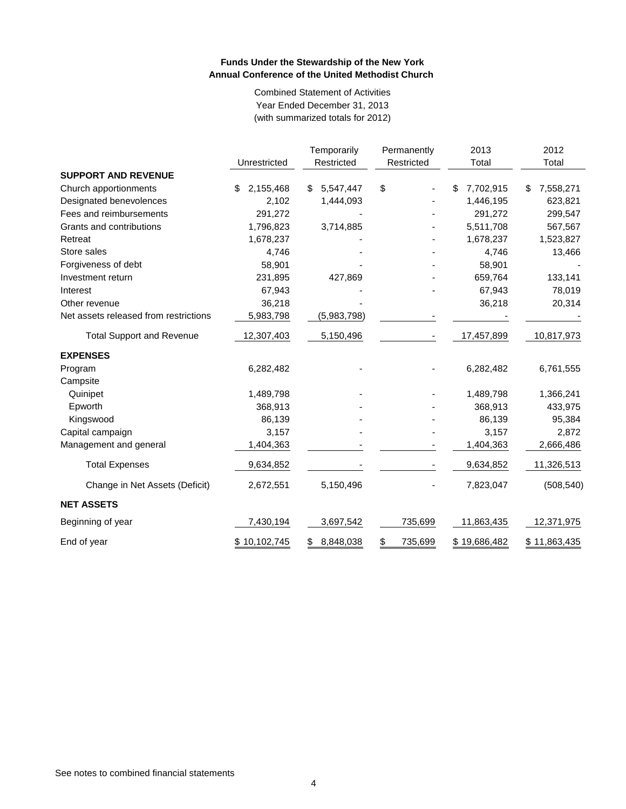Combined Statement of Activities Year Ended December 31, 2013 (with summarized totals for 2012)

|                                       | Unrestricted    | Temporarily<br>Restricted | Permanently<br>Restricted | 2013<br>Total   | 2012<br>Total   |
|---------------------------------------|-----------------|---------------------------|---------------------------|-----------------|-----------------|
| <b>SUPPORT AND REVENUE</b>            |                 |                           |                           |                 |                 |
| Church apportionments                 | 2,155,468<br>\$ | 5,547,447<br>\$           | \$                        | 7,702,915<br>\$ | 7,558,271<br>\$ |
| Designated benevolences               | 2,102           | 1,444,093                 |                           | 1,446,195       | 623,821         |
| Fees and reimbursements               | 291,272         |                           |                           | 291,272         | 299,547         |
| Grants and contributions              | 1,796,823       | 3,714,885                 |                           | 5,511,708       | 567,567         |
| Retreat                               | 1,678,237       |                           |                           | 1,678,237       | 1,523,827       |
| Store sales                           | 4,746           |                           |                           | 4,746           | 13,466          |
| Forgiveness of debt                   | 58,901          |                           |                           | 58,901          |                 |
| Investment return                     | 231,895         | 427,869                   |                           | 659,764         | 133,141         |
| Interest                              | 67,943          |                           |                           | 67,943          | 78,019          |
| Other revenue                         | 36,218          |                           |                           | 36,218          | 20,314          |
| Net assets released from restrictions | 5,983,798       | (5,983,798)               |                           |                 |                 |
| <b>Total Support and Revenue</b>      | 12,307,403      | 5,150,496                 |                           | 17,457,899      | 10,817,973      |
| <b>EXPENSES</b>                       |                 |                           |                           |                 |                 |
| Program                               | 6,282,482       |                           |                           | 6,282,482       | 6,761,555       |
| Campsite                              |                 |                           |                           |                 |                 |
| Quinipet                              | 1,489,798       |                           |                           | 1,489,798       | 1,366,241       |
| Epworth                               | 368,913         |                           |                           | 368,913         | 433,975         |
| Kingswood                             | 86,139          |                           |                           | 86,139          | 95,384          |
| Capital campaign                      | 3,157           |                           |                           | 3,157           | 2,872           |
| Management and general                | 1,404,363       |                           |                           | 1,404,363       | 2,666,486       |
| <b>Total Expenses</b>                 | 9,634,852       |                           |                           | 9,634,852       | 11,326,513      |
| Change in Net Assets (Deficit)        | 2,672,551       | 5,150,496                 |                           | 7,823,047       | (508, 540)      |
| <b>NET ASSETS</b>                     |                 |                           |                           |                 |                 |
| Beginning of year                     | 7,430,194       | 3,697,542                 | 735,699                   | 11,863,435      | 12,371,975      |
| End of year                           | \$10,102,745    | 8,848,038<br>S            | \$<br>735,699             | \$19,686,482    | \$11,863,435    |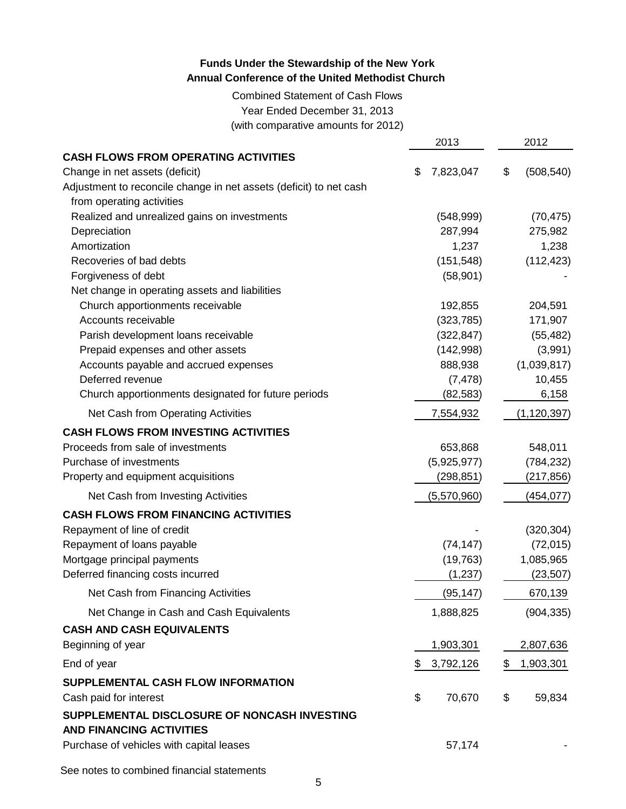Combined Statement of Cash Flows Year Ended December 31, 2013 (with comparative amounts for 2012)

|                                                                    | 2013            | 2012             |
|--------------------------------------------------------------------|-----------------|------------------|
| <b>CASH FLOWS FROM OPERATING ACTIVITIES</b>                        |                 |                  |
| Change in net assets (deficit)                                     | \$<br>7,823,047 | \$<br>(508, 540) |
| Adjustment to reconcile change in net assets (deficit) to net cash |                 |                  |
| from operating activities                                          |                 |                  |
| Realized and unrealized gains on investments                       | (548, 999)      | (70, 475)        |
| Depreciation                                                       | 287,994         | 275,982          |
| Amortization                                                       | 1,237           | 1,238            |
| Recoveries of bad debts                                            | (151, 548)      | (112, 423)       |
| Forgiveness of debt                                                | (58, 901)       |                  |
| Net change in operating assets and liabilities                     |                 |                  |
| Church apportionments receivable                                   | 192,855         | 204,591          |
| Accounts receivable                                                | (323, 785)      | 171,907          |
| Parish development loans receivable                                | (322, 847)      | (55, 482)        |
| Prepaid expenses and other assets                                  | (142,998)       | (3,991)          |
| Accounts payable and accrued expenses                              | 888,938         | (1,039,817)      |
| Deferred revenue                                                   | (7, 478)        | 10,455           |
| Church apportionments designated for future periods                | (82, 583)       | 6,158            |
| Net Cash from Operating Activities                                 | 7,554,932       | (1, 120, 397)    |
| <b>CASH FLOWS FROM INVESTING ACTIVITIES</b>                        |                 |                  |
| Proceeds from sale of investments                                  | 653,868         | 548,011          |
| Purchase of investments                                            | (5,925,977)     | (784, 232)       |
| Property and equipment acquisitions                                | (298, 851)      | (217,856)        |
| Net Cash from Investing Activities                                 | (5,570,960)     | (454, 077)       |
| <b>CASH FLOWS FROM FINANCING ACTIVITIES</b>                        |                 |                  |
| Repayment of line of credit                                        |                 | (320, 304)       |
| Repayment of loans payable                                         | (74, 147)       | (72, 015)        |
| Mortgage principal payments                                        | (19, 763)       | 1,085,965        |
| Deferred financing costs incurred                                  | (1, 237)        | (23, 507)        |
| Net Cash from Financing Activities                                 | (95, 147)       | 670,139          |
| Net Change in Cash and Cash Equivalents                            | 1,888,825       | (904, 335)       |
| <b>CASH AND CASH EQUIVALENTS</b>                                   |                 |                  |
| Beginning of year                                                  | 1,903,301       | 2,807,636        |
| End of year                                                        | \$<br>3,792,126 | \$1,903,301      |
| SUPPLEMENTAL CASH FLOW INFORMATION                                 |                 |                  |
| Cash paid for interest                                             | \$<br>70,670    | \$<br>59,834     |
| SUPPLEMENTAL DISCLOSURE OF NONCASH INVESTING                       |                 |                  |
| <b>AND FINANCING ACTIVITIES</b>                                    |                 |                  |
| Purchase of vehicles with capital leases                           | 57,174          |                  |
|                                                                    |                 |                  |
| See notes to combined financial statements                         |                 |                  |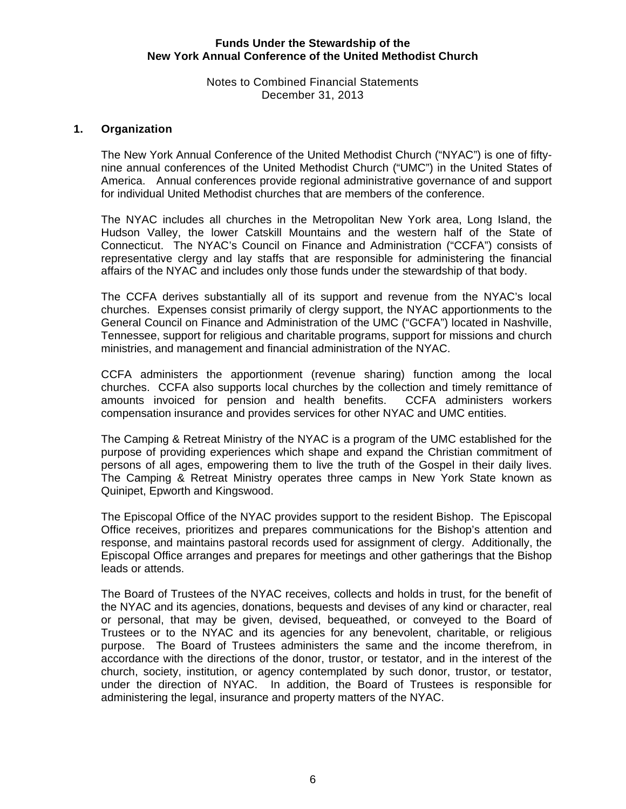#### Notes to Combined Financial Statements December 31, 2013

#### **1. Organization**

The New York Annual Conference of the United Methodist Church ("NYAC") is one of fiftynine annual conferences of the United Methodist Church ("UMC") in the United States of America. Annual conferences provide regional administrative governance of and support for individual United Methodist churches that are members of the conference.

The NYAC includes all churches in the Metropolitan New York area, Long Island, the Hudson Valley, the lower Catskill Mountains and the western half of the State of Connecticut. The NYAC's Council on Finance and Administration ("CCFA") consists of representative clergy and lay staffs that are responsible for administering the financial affairs of the NYAC and includes only those funds under the stewardship of that body.

The CCFA derives substantially all of its support and revenue from the NYAC's local churches. Expenses consist primarily of clergy support, the NYAC apportionments to the General Council on Finance and Administration of the UMC ("GCFA") located in Nashville, Tennessee, support for religious and charitable programs, support for missions and church ministries, and management and financial administration of the NYAC.

CCFA administers the apportionment (revenue sharing) function among the local churches. CCFA also supports local churches by the collection and timely remittance of amounts invoiced for pension and health benefits. CCFA administers workers compensation insurance and provides services for other NYAC and UMC entities.

The Camping & Retreat Ministry of the NYAC is a program of the UMC established for the purpose of providing experiences which shape and expand the Christian commitment of persons of all ages, empowering them to live the truth of the Gospel in their daily lives. The Camping & Retreat Ministry operates three camps in New York State known as Quinipet, Epworth and Kingswood.

The Episcopal Office of the NYAC provides support to the resident Bishop. The Episcopal Office receives, prioritizes and prepares communications for the Bishop's attention and response, and maintains pastoral records used for assignment of clergy. Additionally, the Episcopal Office arranges and prepares for meetings and other gatherings that the Bishop leads or attends.

The Board of Trustees of the NYAC receives, collects and holds in trust, for the benefit of the NYAC and its agencies, donations, bequests and devises of any kind or character, real or personal, that may be given, devised, bequeathed, or conveyed to the Board of Trustees or to the NYAC and its agencies for any benevolent, charitable, or religious purpose. The Board of Trustees administers the same and the income therefrom, in accordance with the directions of the donor, trustor, or testator, and in the interest of the church, society, institution, or agency contemplated by such donor, trustor, or testator, under the direction of NYAC. In addition, the Board of Trustees is responsible for administering the legal, insurance and property matters of the NYAC.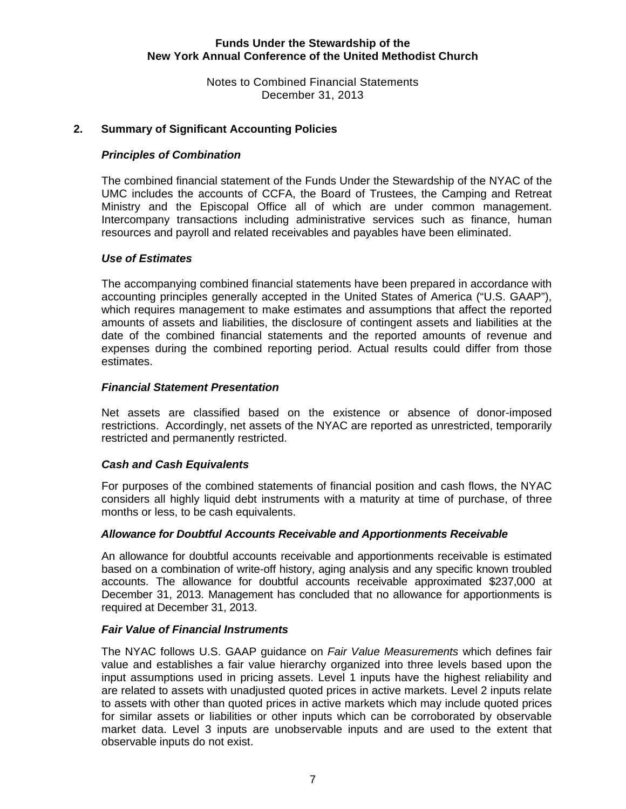Notes to Combined Financial Statements December 31, 2013

#### **2. Summary of Significant Accounting Policies**

#### *Principles of Combination*

The combined financial statement of the Funds Under the Stewardship of the NYAC of the UMC includes the accounts of CCFA, the Board of Trustees, the Camping and Retreat Ministry and the Episcopal Office all of which are under common management. Intercompany transactions including administrative services such as finance, human resources and payroll and related receivables and payables have been eliminated.

#### *Use of Estimates*

The accompanying combined financial statements have been prepared in accordance with accounting principles generally accepted in the United States of America ("U.S. GAAP"), which requires management to make estimates and assumptions that affect the reported amounts of assets and liabilities, the disclosure of contingent assets and liabilities at the date of the combined financial statements and the reported amounts of revenue and expenses during the combined reporting period. Actual results could differ from those estimates.

#### *Financial Statement Presentation*

Net assets are classified based on the existence or absence of donor-imposed restrictions. Accordingly, net assets of the NYAC are reported as unrestricted, temporarily restricted and permanently restricted.

#### *Cash and Cash Equivalents*

For purposes of the combined statements of financial position and cash flows, the NYAC considers all highly liquid debt instruments with a maturity at time of purchase, of three months or less, to be cash equivalents.

#### *Allowance for Doubtful Accounts Receivable and Apportionments Receivable*

An allowance for doubtful accounts receivable and apportionments receivable is estimated based on a combination of write-off history, aging analysis and any specific known troubled accounts. The allowance for doubtful accounts receivable approximated \$237,000 at December 31, 2013. Management has concluded that no allowance for apportionments is required at December 31, 2013.

#### *Fair Value of Financial Instruments*

 The NYAC follows U.S. GAAP guidance on *Fair Value Measurements* which defines fair value and establishes a fair value hierarchy organized into three levels based upon the input assumptions used in pricing assets. Level 1 inputs have the highest reliability and are related to assets with unadjusted quoted prices in active markets. Level 2 inputs relate to assets with other than quoted prices in active markets which may include quoted prices for similar assets or liabilities or other inputs which can be corroborated by observable market data. Level 3 inputs are unobservable inputs and are used to the extent that observable inputs do not exist.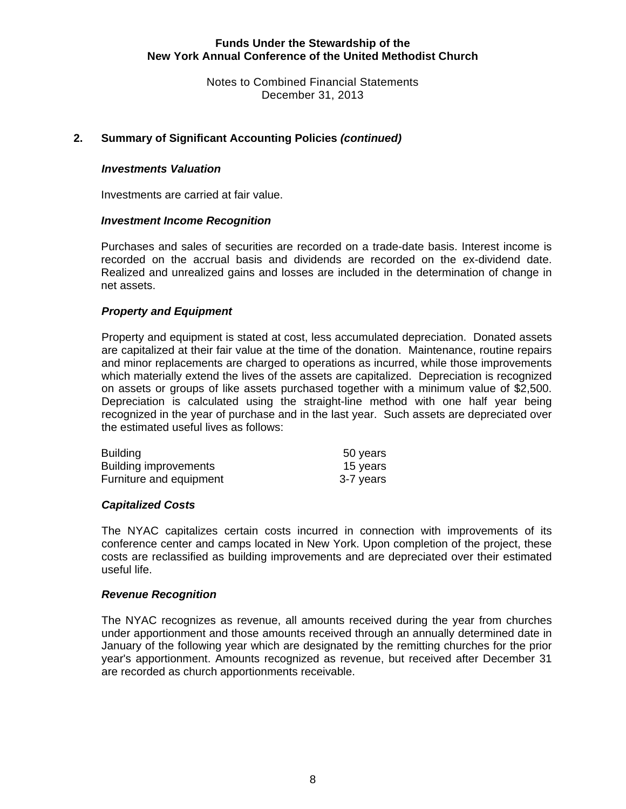Notes to Combined Financial Statements December 31, 2013

### **2. Summary of Significant Accounting Policies** *(continued)*

#### *Investments Valuation*

Investments are carried at fair value.

#### *Investment Income Recognition*

Purchases and sales of securities are recorded on a trade-date basis. Interest income is recorded on the accrual basis and dividends are recorded on the ex-dividend date. Realized and unrealized gains and losses are included in the determination of change in net assets.

#### *Property and Equipment*

Property and equipment is stated at cost, less accumulated depreciation. Donated assets are capitalized at their fair value at the time of the donation. Maintenance, routine repairs and minor replacements are charged to operations as incurred, while those improvements which materially extend the lives of the assets are capitalized. Depreciation is recognized on assets or groups of like assets purchased together with a minimum value of \$2,500. Depreciation is calculated using the straight-line method with one half year being recognized in the year of purchase and in the last year. Such assets are depreciated over the estimated useful lives as follows:

| <b>Building</b>              | 50 years  |
|------------------------------|-----------|
| <b>Building improvements</b> | 15 years  |
| Furniture and equipment      | 3-7 years |

#### *Capitalized Costs*

The NYAC capitalizes certain costs incurred in connection with improvements of its conference center and camps located in New York. Upon completion of the project, these costs are reclassified as building improvements and are depreciated over their estimated useful life.

#### *Revenue Recognition*

The NYAC recognizes as revenue, all amounts received during the year from churches under apportionment and those amounts received through an annually determined date in January of the following year which are designated by the remitting churches for the prior year's apportionment. Amounts recognized as revenue, but received after December 31 are recorded as church apportionments receivable.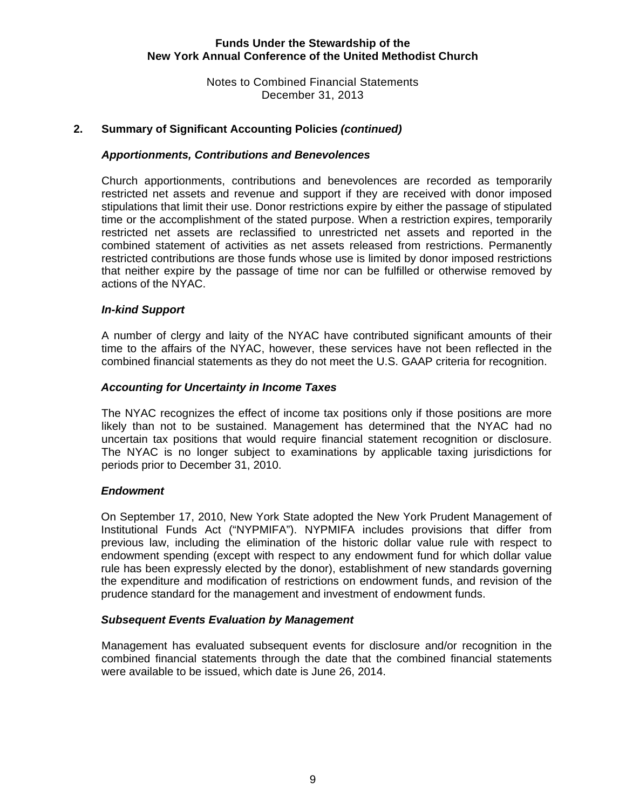Notes to Combined Financial Statements December 31, 2013

#### **2. Summary of Significant Accounting Policies** *(continued)*

#### *Apportionments, Contributions and Benevolences*

Church apportionments, contributions and benevolences are recorded as temporarily restricted net assets and revenue and support if they are received with donor imposed stipulations that limit their use. Donor restrictions expire by either the passage of stipulated time or the accomplishment of the stated purpose. When a restriction expires, temporarily restricted net assets are reclassified to unrestricted net assets and reported in the combined statement of activities as net assets released from restrictions. Permanently restricted contributions are those funds whose use is limited by donor imposed restrictions that neither expire by the passage of time nor can be fulfilled or otherwise removed by actions of the NYAC.

#### *In-kind Support*

A number of clergy and laity of the NYAC have contributed significant amounts of their time to the affairs of the NYAC, however, these services have not been reflected in the combined financial statements as they do not meet the U.S. GAAP criteria for recognition.

#### *Accounting for Uncertainty in Income Taxes*

The NYAC recognizes the effect of income tax positions only if those positions are more likely than not to be sustained. Management has determined that the NYAC had no uncertain tax positions that would require financial statement recognition or disclosure. The NYAC is no longer subject to examinations by applicable taxing jurisdictions for periods prior to December 31, 2010.

#### *Endowment*

On September 17, 2010, New York State adopted the New York Prudent Management of Institutional Funds Act ("NYPMIFA"). NYPMIFA includes provisions that differ from previous law, including the elimination of the historic dollar value rule with respect to endowment spending (except with respect to any endowment fund for which dollar value rule has been expressly elected by the donor), establishment of new standards governing the expenditure and modification of restrictions on endowment funds, and revision of the prudence standard for the management and investment of endowment funds.

#### *Subsequent Events Evaluation by Management*

Management has evaluated subsequent events for disclosure and/or recognition in the combined financial statements through the date that the combined financial statements were available to be issued, which date is June 26, 2014.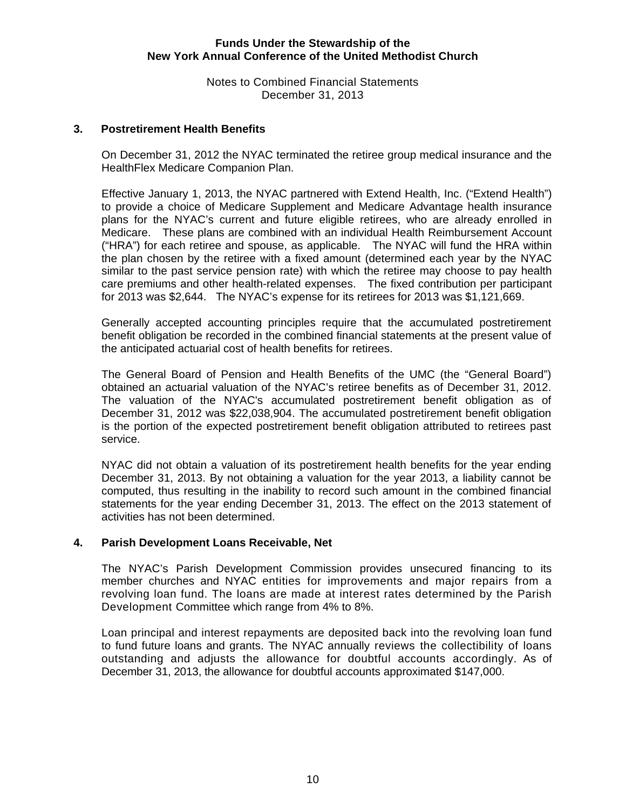Notes to Combined Financial Statements December 31, 2013

#### **3. Postretirement Health Benefits**

On December 31, 2012 the NYAC terminated the retiree group medical insurance and the HealthFlex Medicare Companion Plan.

Effective January 1, 2013, the NYAC partnered with Extend Health, Inc. ("Extend Health") to provide a choice of Medicare Supplement and Medicare Advantage health insurance plans for the NYAC's current and future eligible retirees, who are already enrolled in Medicare. These plans are combined with an individual Health Reimbursement Account ("HRA") for each retiree and spouse, as applicable. The NYAC will fund the HRA within the plan chosen by the retiree with a fixed amount (determined each year by the NYAC similar to the past service pension rate) with which the retiree may choose to pay health care premiums and other health-related expenses. The fixed contribution per participant for 2013 was \$2,644. The NYAC's expense for its retirees for 2013 was \$1,121,669.

Generally accepted accounting principles require that the accumulated postretirement benefit obligation be recorded in the combined financial statements at the present value of the anticipated actuarial cost of health benefits for retirees.

The General Board of Pension and Health Benefits of the UMC (the "General Board") obtained an actuarial valuation of the NYAC's retiree benefits as of December 31, 2012. The valuation of the NYAC's accumulated postretirement benefit obligation as of December 31, 2012 was \$22,038,904. The accumulated postretirement benefit obligation is the portion of the expected postretirement benefit obligation attributed to retirees past service.

NYAC did not obtain a valuation of its postretirement health benefits for the year ending December 31, 2013. By not obtaining a valuation for the year 2013, a liability cannot be computed, thus resulting in the inability to record such amount in the combined financial statements for the year ending December 31, 2013. The effect on the 2013 statement of activities has not been determined.

#### **4. Parish Development Loans Receivable, Net**

The NYAC's Parish Development Commission provides unsecured financing to its member churches and NYAC entities for improvements and major repairs from a revolving loan fund. The loans are made at interest rates determined by the Parish Development Committee which range from 4% to 8%.

Loan principal and interest repayments are deposited back into the revolving loan fund to fund future loans and grants. The NYAC annually reviews the collectibility of loans outstanding and adjusts the allowance for doubtful accounts accordingly. As of December 31, 2013, the allowance for doubtful accounts approximated \$147,000.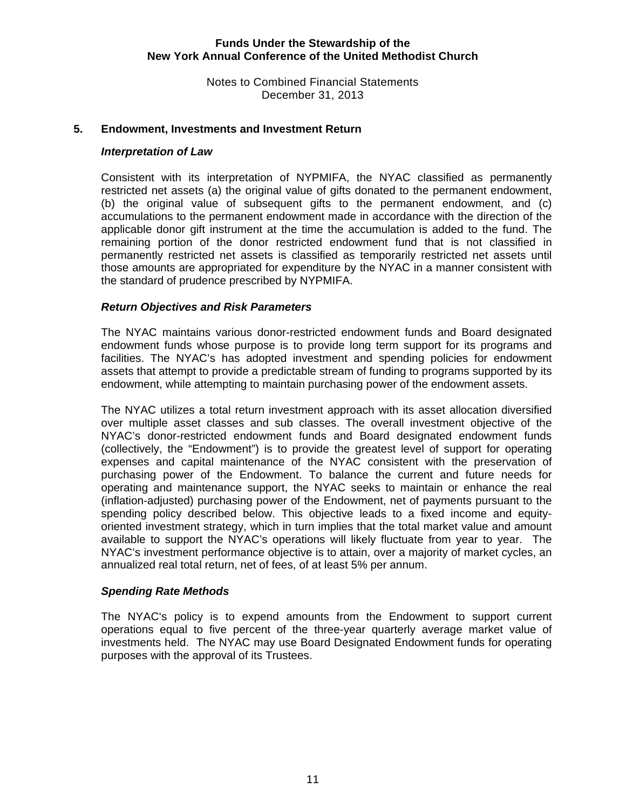Notes to Combined Financial Statements December 31, 2013

#### **5. Endowment, Investments and Investment Return**

#### *Interpretation of Law*

Consistent with its interpretation of NYPMIFA, the NYAC classified as permanently restricted net assets (a) the original value of gifts donated to the permanent endowment, (b) the original value of subsequent gifts to the permanent endowment, and (c) accumulations to the permanent endowment made in accordance with the direction of the applicable donor gift instrument at the time the accumulation is added to the fund. The remaining portion of the donor restricted endowment fund that is not classified in permanently restricted net assets is classified as temporarily restricted net assets until those amounts are appropriated for expenditure by the NYAC in a manner consistent with the standard of prudence prescribed by NYPMIFA.

#### *Return Objectives and Risk Parameters*

The NYAC maintains various donor-restricted endowment funds and Board designated endowment funds whose purpose is to provide long term support for its programs and facilities. The NYAC's has adopted investment and spending policies for endowment assets that attempt to provide a predictable stream of funding to programs supported by its endowment, while attempting to maintain purchasing power of the endowment assets.

The NYAC utilizes a total return investment approach with its asset allocation diversified over multiple asset classes and sub classes. The overall investment objective of the NYAC's donor-restricted endowment funds and Board designated endowment funds (collectively, the "Endowment") is to provide the greatest level of support for operating expenses and capital maintenance of the NYAC consistent with the preservation of purchasing power of the Endowment. To balance the current and future needs for operating and maintenance support, the NYAC seeks to maintain or enhance the real (inflation-adjusted) purchasing power of the Endowment, net of payments pursuant to the spending policy described below. This objective leads to a fixed income and equityoriented investment strategy, which in turn implies that the total market value and amount available to support the NYAC's operations will likely fluctuate from year to year. The NYAC's investment performance objective is to attain, over a majority of market cycles, an annualized real total return, net of fees, of at least 5% per annum.

#### *Spending Rate Methods*

The NYAC's policy is to expend amounts from the Endowment to support current operations equal to five percent of the three-year quarterly average market value of investments held. The NYAC may use Board Designated Endowment funds for operating purposes with the approval of its Trustees.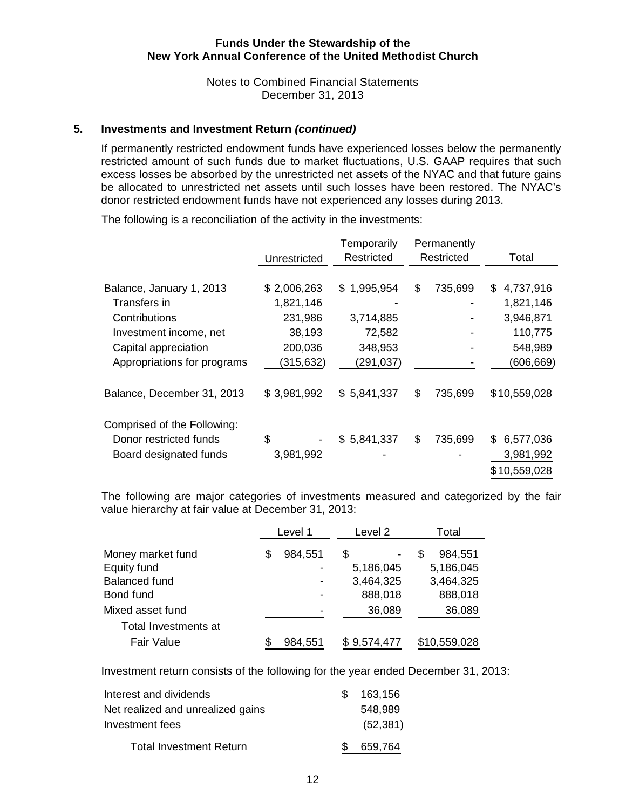Notes to Combined Financial Statements December 31, 2013

#### **5. Investments and Investment Return** *(continued)*

If permanently restricted endowment funds have experienced losses below the permanently restricted amount of such funds due to market fluctuations, U.S. GAAP requires that such excess losses be absorbed by the unrestricted net assets of the NYAC and that future gains be allocated to unrestricted net assets until such losses have been restored. The NYAC's donor restricted endowment funds have not experienced any losses during 2013.

|                             |              | Temporarily | Permanently   |                  |
|-----------------------------|--------------|-------------|---------------|------------------|
|                             | Unrestricted | Restricted  | Restricted    | Total            |
|                             |              |             |               |                  |
| Balance, January 1, 2013    | \$2,006,263  | \$1,995,954 | \$<br>735,699 | 4,737,916<br>\$  |
| Transfers in                | 1,821,146    |             |               | 1,821,146        |
| Contributions               | 231,986      | 3,714,885   |               | 3,946,871        |
| Investment income, net      | 38,193       | 72,582      |               | 110,775          |
| Capital appreciation        | 200,036      | 348,953     |               | 548,989          |
| Appropriations for programs | (315, 632)   | (291, 037)  |               | (606, 669)       |
| Balance, December 31, 2013  | \$3,981,992  | \$5,841,337 | \$<br>735,699 | \$10,559,028     |
| Comprised of the Following: |              |             |               |                  |
| Donor restricted funds      | \$           | \$5,841,337 | \$<br>735,699 | 6,577,036<br>\$. |
| Board designated funds      | 3,981,992    |             |               | 3,981,992        |
|                             |              |             |               | \$10,559,028     |

The following is a reconciliation of the activity in the investments:

The following are major categories of investments measured and categorized by the fair value hierarchy at fair value at December 31, 2013:

|                                                                       | Level 1       | Level 2                                 | Total                                             |  |
|-----------------------------------------------------------------------|---------------|-----------------------------------------|---------------------------------------------------|--|
| Money market fund<br>Equity fund<br><b>Balanced fund</b><br>Bond fund | \$<br>984,551 | \$<br>5,186,045<br>3,464,325<br>888,018 | 984,551<br>S<br>5,186,045<br>3,464,325<br>888,018 |  |
| Mixed asset fund<br>Total Investments at                              |               | 36,089                                  | 36,089                                            |  |
| <b>Fair Value</b>                                                     | 984,551       | \$9,574,477                             | \$10,559,028                                      |  |

Investment return consists of the following for the year ended December 31, 2013:

| Interest and dividends            | 163,156   |
|-----------------------------------|-----------|
| Net realized and unrealized gains | 548,989   |
| Investment fees                   | (52, 381) |
| <b>Total Investment Return</b>    | 659,764   |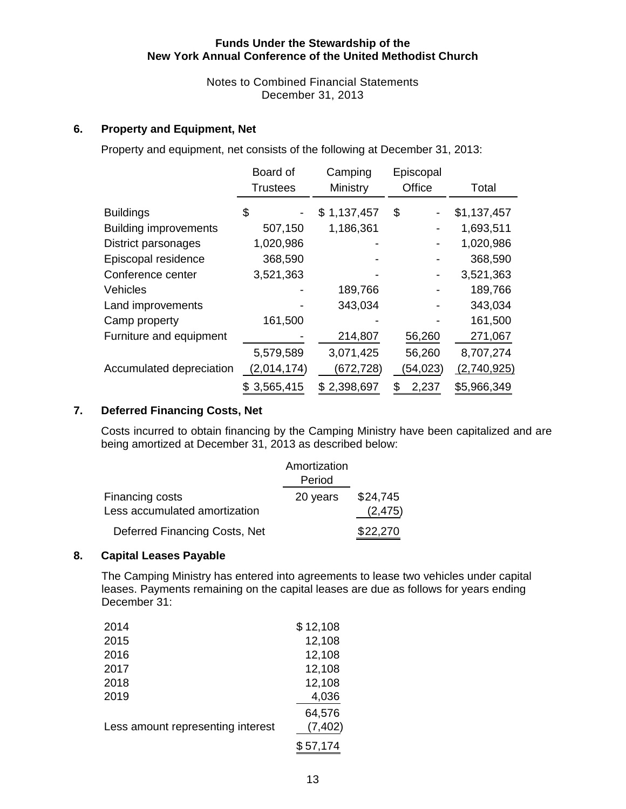Notes to Combined Financial Statements December 31, 2013

#### **6. Property and Equipment, Net**

Property and equipment, net consists of the following at December 31, 2013:

|                              | Board of<br><b>Trustees</b> | Camping<br>Ministry | Episcopal<br>Office | Total       |
|------------------------------|-----------------------------|---------------------|---------------------|-------------|
|                              |                             |                     |                     |             |
| <b>Buildings</b>             | \$                          | \$1,137,457         | \$                  | \$1,137,457 |
| <b>Building improvements</b> | 507,150                     | 1,186,361           |                     | 1,693,511   |
| District parsonages          | 1,020,986                   |                     |                     | 1,020,986   |
| Episcopal residence          | 368,590                     |                     |                     | 368,590     |
| Conference center            | 3,521,363                   |                     |                     | 3,521,363   |
| <b>Vehicles</b>              |                             | 189,766             |                     | 189,766     |
| Land improvements            |                             | 343,034             |                     | 343,034     |
| Camp property                | 161,500                     |                     |                     | 161,500     |
| Furniture and equipment      |                             | 214,807             | 56,260              | 271,067     |
|                              | 5,579,589                   | 3,071,425           | 56,260              | 8,707,274   |
| Accumulated depreciation     | (2,014,174)                 | (672,728)           | (54, 023)           | (2,740,925) |
|                              | 3,565,415                   | \$2,398,697         | 2,237               | \$5,966,349 |

#### **7. Deferred Financing Costs, Net**

Costs incurred to obtain financing by the Camping Ministry have been capitalized and are being amortized at December 31, 2013 as described below:

|                                                  | Amortization<br>Period |                      |
|--------------------------------------------------|------------------------|----------------------|
| Financing costs<br>Less accumulated amortization | 20 years               | \$24,745<br>(2, 475) |
| Deferred Financing Costs, Net                    |                        | \$22,270             |

#### **8. Capital Leases Payable**

The Camping Ministry has entered into agreements to lease two vehicles under capital leases. Payments remaining on the capital leases are due as follows for years ending December 31:

| 2014                              | \$12,108 |
|-----------------------------------|----------|
| 2015                              | 12,108   |
| 2016                              | 12,108   |
| 2017                              | 12,108   |
| 2018                              | 12,108   |
| 2019                              | 4,036    |
|                                   | 64,576   |
| Less amount representing interest | (7, 402) |
|                                   | \$57,174 |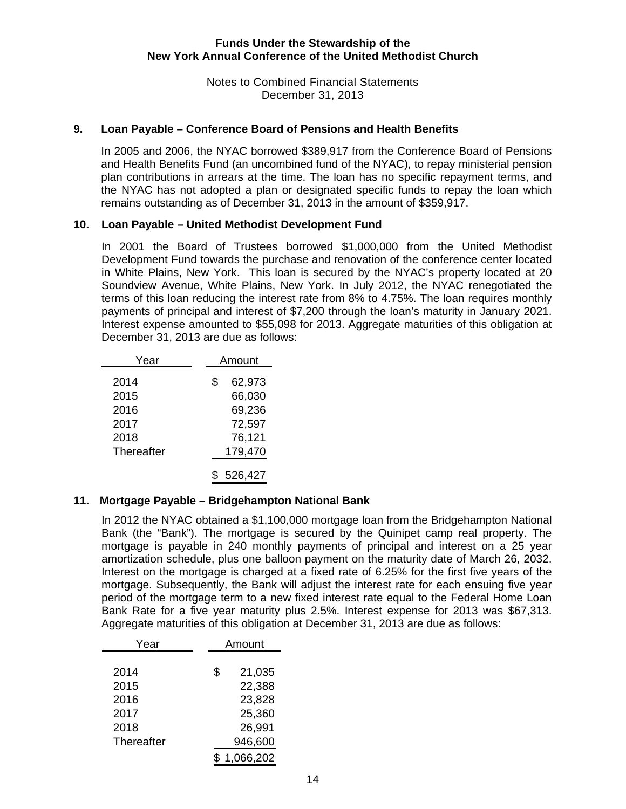Notes to Combined Financial Statements December 31, 2013

#### **9. Loan Payable – Conference Board of Pensions and Health Benefits**

In 2005 and 2006, the NYAC borrowed \$389,917 from the Conference Board of Pensions and Health Benefits Fund (an uncombined fund of the NYAC), to repay ministerial pension plan contributions in arrears at the time. The loan has no specific repayment terms, and the NYAC has not adopted a plan or designated specific funds to repay the loan which remains outstanding as of December 31, 2013 in the amount of \$359,917.

#### **10. Loan Payable – United Methodist Development Fund**

In 2001 the Board of Trustees borrowed \$1,000,000 from the United Methodist Development Fund towards the purchase and renovation of the conference center located in White Plains, New York. This loan is secured by the NYAC's property located at 20 Soundview Avenue, White Plains, New York. In July 2012, the NYAC renegotiated the terms of this loan reducing the interest rate from 8% to 4.75%. The loan requires monthly payments of principal and interest of \$7,200 through the loan's maturity in January 2021. Interest expense amounted to \$55,098 for 2013. Aggregate maturities of this obligation at December 31, 2013 are due as follows:

| Year                                               | Amount                                                          |
|----------------------------------------------------|-----------------------------------------------------------------|
| 2014<br>2015<br>2016<br>2017<br>2018<br>Thereafter | 62,973<br>\$<br>66,030<br>69,236<br>72,597<br>76,121<br>179,470 |
|                                                    | 526,427                                                         |

# **11. Mortgage Payable – Bridgehampton National Bank**

 In 2012 the NYAC obtained a \$1,100,000 mortgage loan from the Bridgehampton National Bank (the "Bank"). The mortgage is secured by the Quinipet camp real property. The mortgage is payable in 240 monthly payments of principal and interest on a 25 year amortization schedule, plus one balloon payment on the maturity date of March 26, 2032. Interest on the mortgage is charged at a fixed rate of 6.25% for the first five years of the mortgage. Subsequently, the Bank will adjust the interest rate for each ensuing five year period of the mortgage term to a new fixed interest rate equal to the Federal Home Loan Bank Rate for a five year maturity plus 2.5%. Interest expense for 2013 was \$67,313. Aggregate maturities of this obligation at December 31, 2013 are due as follows:

| Year       | Amount       |
|------------|--------------|
|            |              |
| 2014       | \$<br>21,035 |
| 2015       | 22,388       |
| 2016       | 23,828       |
| 2017       | 25,360       |
| 2018       | 26,991       |
| Thereafter | 946,600      |
|            | 1.066,202    |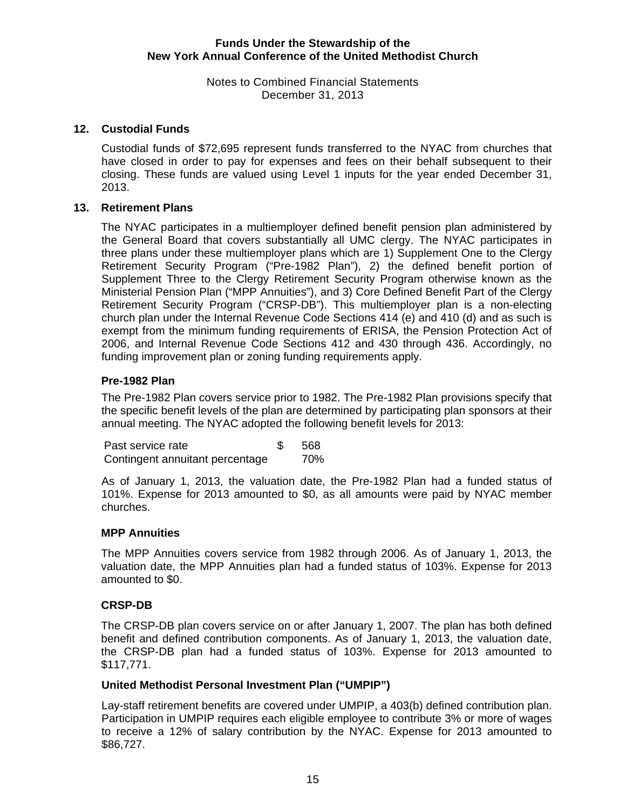Notes to Combined Financial Statements December 31, 2013

#### **12. Custodial Funds**

Custodial funds of \$72,695 represent funds transferred to the NYAC from churches that have closed in order to pay for expenses and fees on their behalf subsequent to their closing. These funds are valued using Level 1 inputs for the year ended December 31, 2013.

#### **13. Retirement Plans**

The NYAC participates in a multiemployer defined benefit pension plan administered by the General Board that covers substantially all UMC clergy. The NYAC participates in three plans under these multiemployer plans which are 1) Supplement One to the Clergy Retirement Security Program ("Pre-1982 Plan"), 2) the defined benefit portion of Supplement Three to the Clergy Retirement Security Program otherwise known as the Ministerial Pension Plan ("MPP Annuities"), and 3) Core Defined Benefit Part of the Clergy Retirement Security Program ("CRSP-DB"). This multiemployer plan is a non-electing church plan under the Internal Revenue Code Sections 414 (e) and 410 (d) and as such is exempt from the minimum funding requirements of ERISA, the Pension Protection Act of 2006, and Internal Revenue Code Sections 412 and 430 through 436. Accordingly, no funding improvement plan or zoning funding requirements apply.

#### **Pre-1982 Plan**

The Pre-1982 Plan covers service prior to 1982. The Pre-1982 Plan provisions specify that the specific benefit levels of the plan are determined by participating plan sponsors at their annual meeting. The NYAC adopted the following benefit levels for 2013:

Past service rate 568 Contingent annuitant percentage 70%

As of January 1, 2013, the valuation date, the Pre-1982 Plan had a funded status of 101%. Expense for 2013 amounted to \$0, as all amounts were paid by NYAC member churches.

#### **MPP Annuities**

The MPP Annuities covers service from 1982 through 2006. As of January 1, 2013, the valuation date, the MPP Annuities plan had a funded status of 103%. Expense for 2013 amounted to \$0.

#### **CRSP-DB**

The CRSP-DB plan covers service on or after January 1, 2007. The plan has both defined benefit and defined contribution components. As of January 1, 2013, the valuation date, the CRSP-DB plan had a funded status of 103%. Expense for 2013 amounted to \$117,771.

#### **United Methodist Personal Investment Plan ("UMPIP")**

Lay-staff retirement benefits are covered under UMPIP, a 403(b) defined contribution plan. Participation in UMPIP requires each eligible employee to contribute 3% or more of wages to receive a 12% of salary contribution by the NYAC. Expense for 2013 amounted to \$86,727.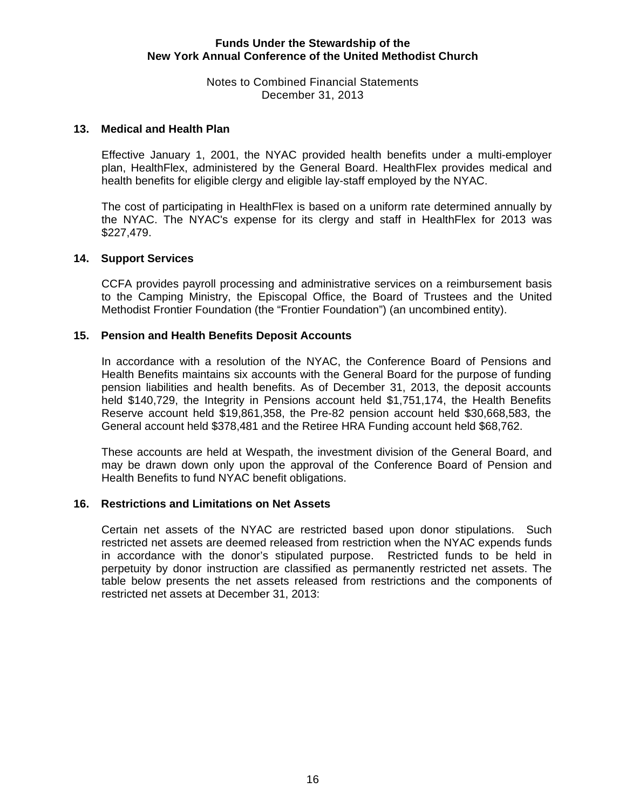Notes to Combined Financial Statements December 31, 2013

#### **13. Medical and Health Plan**

Effective January 1, 2001, the NYAC provided health benefits under a multi-employer plan, HealthFlex, administered by the General Board. HealthFlex provides medical and health benefits for eligible clergy and eligible lay-staff employed by the NYAC.

The cost of participating in HealthFlex is based on a uniform rate determined annually by the NYAC. The NYAC's expense for its clergy and staff in HealthFlex for 2013 was \$227,479.

#### **14. Support Services**

CCFA provides payroll processing and administrative services on a reimbursement basis to the Camping Ministry, the Episcopal Office, the Board of Trustees and the United Methodist Frontier Foundation (the "Frontier Foundation") (an uncombined entity).

#### **15. Pension and Health Benefits Deposit Accounts**

In accordance with a resolution of the NYAC, the Conference Board of Pensions and Health Benefits maintains six accounts with the General Board for the purpose of funding pension liabilities and health benefits. As of December 31, 2013, the deposit accounts held \$140,729, the Integrity in Pensions account held \$1,751,174, the Health Benefits Reserve account held \$19,861,358, the Pre-82 pension account held \$30,668,583, the General account held \$378,481 and the Retiree HRA Funding account held \$68,762.

These accounts are held at Wespath, the investment division of the General Board, and may be drawn down only upon the approval of the Conference Board of Pension and Health Benefits to fund NYAC benefit obligations.

#### **16. Restrictions and Limitations on Net Assets**

Certain net assets of the NYAC are restricted based upon donor stipulations. Such restricted net assets are deemed released from restriction when the NYAC expends funds in accordance with the donor's stipulated purpose. Restricted funds to be held in perpetuity by donor instruction are classified as permanently restricted net assets. The table below presents the net assets released from restrictions and the components of restricted net assets at December 31, 2013: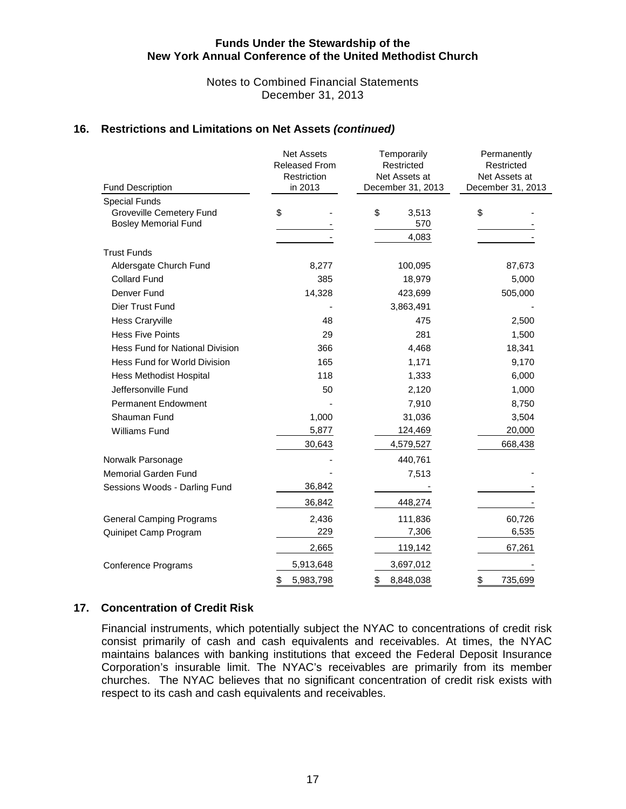#### Notes to Combined Financial Statements December 31, 2013

#### **16. Restrictions and Limitations on Net Assets** *(continued)*

| <b>Fund Description</b>                | <b>Net Assets</b><br>Released From<br>Restriction<br>in 2013 | Temporarily<br>Restricted<br>Net Assets at<br>December 31, 2013 | Permanently<br>Restricted<br>Net Assets at<br>December 31, 2013 |  |  |  |
|----------------------------------------|--------------------------------------------------------------|-----------------------------------------------------------------|-----------------------------------------------------------------|--|--|--|
| <b>Special Funds</b>                   |                                                              |                                                                 |                                                                 |  |  |  |
| <b>Groveville Cemetery Fund</b>        | \$                                                           | \$<br>3,513                                                     | \$                                                              |  |  |  |
| <b>Bosley Memorial Fund</b>            |                                                              | 570                                                             |                                                                 |  |  |  |
|                                        |                                                              | 4,083                                                           |                                                                 |  |  |  |
| <b>Trust Funds</b>                     |                                                              |                                                                 |                                                                 |  |  |  |
| Aldersgate Church Fund                 | 8,277                                                        | 100,095                                                         | 87,673                                                          |  |  |  |
| <b>Collard Fund</b>                    | 385                                                          | 18,979                                                          | 5,000                                                           |  |  |  |
| Denver Fund                            | 14,328                                                       | 423,699                                                         | 505,000                                                         |  |  |  |
| Dier Trust Fund                        |                                                              | 3,863,491                                                       |                                                                 |  |  |  |
| <b>Hess Craryville</b>                 | 48                                                           | 475                                                             | 2,500                                                           |  |  |  |
| <b>Hess Five Points</b>                | 29                                                           | 281                                                             | 1,500                                                           |  |  |  |
| <b>Hess Fund for National Division</b> | 366                                                          | 4,468                                                           | 18,341                                                          |  |  |  |
| Hess Fund for World Division           | 165                                                          | 1,171                                                           | 9,170                                                           |  |  |  |
| <b>Hess Methodist Hospital</b>         | 118                                                          | 1,333                                                           | 6,000                                                           |  |  |  |
| Jeffersonville Fund                    | 50                                                           | 2,120                                                           | 1,000                                                           |  |  |  |
| <b>Permanent Endowment</b>             |                                                              | 7,910                                                           | 8,750                                                           |  |  |  |
| Shauman Fund                           | 1,000                                                        | 31,036                                                          | 3,504                                                           |  |  |  |
| Williams Fund                          | 5,877                                                        | 124,469                                                         | 20,000                                                          |  |  |  |
|                                        | 30,643                                                       | 4,579,527                                                       | 668,438                                                         |  |  |  |
| Norwalk Parsonage                      |                                                              | 440,761                                                         |                                                                 |  |  |  |
| <b>Memorial Garden Fund</b>            |                                                              | 7,513                                                           |                                                                 |  |  |  |
| Sessions Woods - Darling Fund          | 36,842                                                       |                                                                 |                                                                 |  |  |  |
|                                        | 36,842                                                       | 448,274                                                         |                                                                 |  |  |  |
| <b>General Camping Programs</b>        | 2,436                                                        | 111,836                                                         | 60,726                                                          |  |  |  |
| Quinipet Camp Program                  | 229                                                          | 7,306                                                           | 6,535                                                           |  |  |  |
|                                        | 2,665                                                        | 119,142                                                         | 67,261                                                          |  |  |  |
| <b>Conference Programs</b>             | 5,913,648                                                    | 3,697,012                                                       |                                                                 |  |  |  |
|                                        | \$<br>5,983,798                                              | \$<br>8,848,038                                                 | \$<br>735,699                                                   |  |  |  |

#### **17. Concentration of Credit Risk**

Financial instruments, which potentially subject the NYAC to concentrations of credit risk consist primarily of cash and cash equivalents and receivables. At times, the NYAC maintains balances with banking institutions that exceed the Federal Deposit Insurance Corporation's insurable limit. The NYAC's receivables are primarily from its member churches. The NYAC believes that no significant concentration of credit risk exists with respect to its cash and cash equivalents and receivables.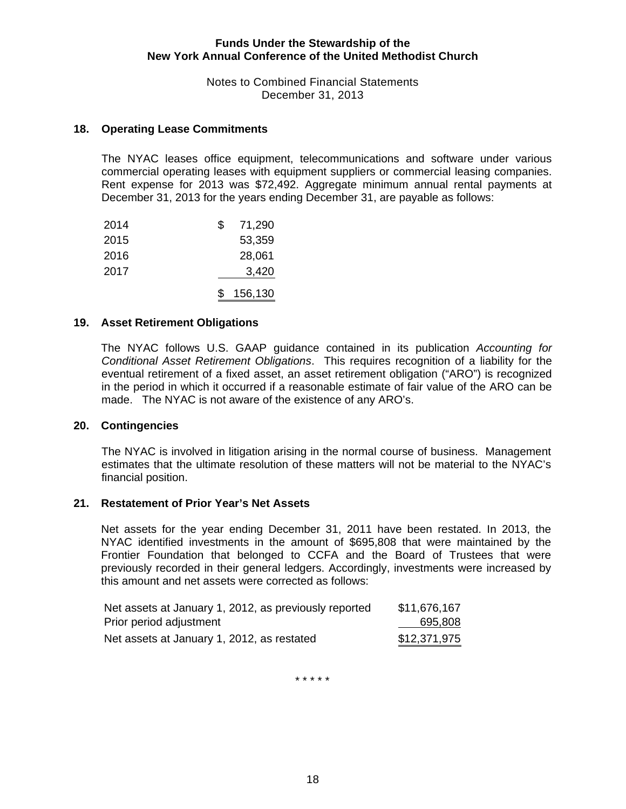Notes to Combined Financial Statements December 31, 2013

#### **18. Operating Lease Commitments**

The NYAC leases office equipment, telecommunications and software under various commercial operating leases with equipment suppliers or commercial leasing companies. Rent expense for 2013 was \$72,492. Aggregate minimum annual rental payments at December 31, 2013 for the years ending December 31, are payable as follows:

| 2014 | S  | 71,290  |
|------|----|---------|
| 2015 |    | 53,359  |
| 2016 |    | 28,061  |
| 2017 |    | 3,420   |
|      | S. | 156,130 |

#### **19. Asset Retirement Obligations**

The NYAC follows U.S. GAAP guidance contained in its publication *Accounting for Conditional Asset Retirement Obligations*. This requires recognition of a liability for the eventual retirement of a fixed asset, an asset retirement obligation ("ARO") is recognized in the period in which it occurred if a reasonable estimate of fair value of the ARO can be made. The NYAC is not aware of the existence of any ARO's.

#### **20. Contingencies**

The NYAC is involved in litigation arising in the normal course of business. Management estimates that the ultimate resolution of these matters will not be material to the NYAC's financial position.

#### **21. Restatement of Prior Year's Net Assets**

Net assets for the year ending December 31, 2011 have been restated. In 2013, the NYAC identified investments in the amount of \$695,808 that were maintained by the Frontier Foundation that belonged to CCFA and the Board of Trustees that were previously recorded in their general ledgers. Accordingly, investments were increased by this amount and net assets were corrected as follows:

| Net assets at January 1, 2012, as previously reported | \$11,676,167 |
|-------------------------------------------------------|--------------|
| Prior period adjustment                               | 695,808      |
| Net assets at January 1, 2012, as restated            | \$12,371,975 |

\* \* \* \* \*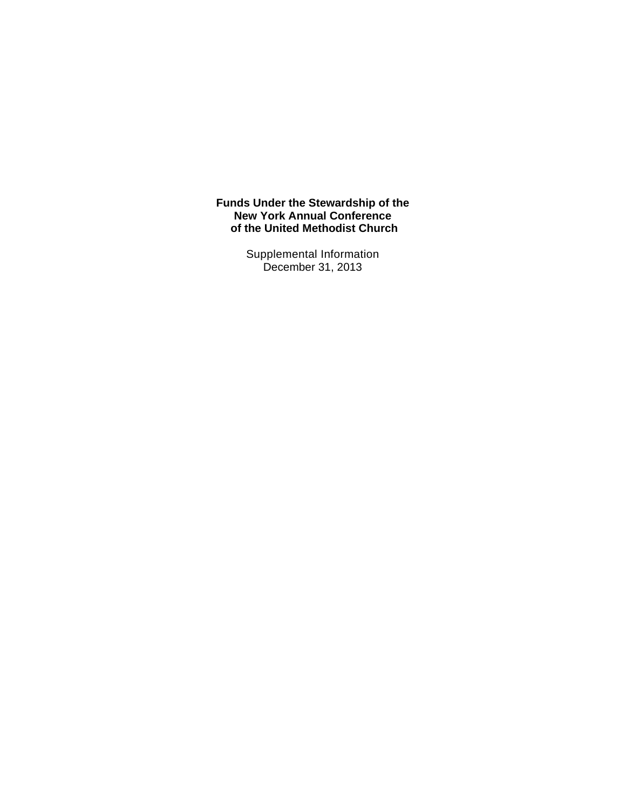> Supplemental Information December 31, 2013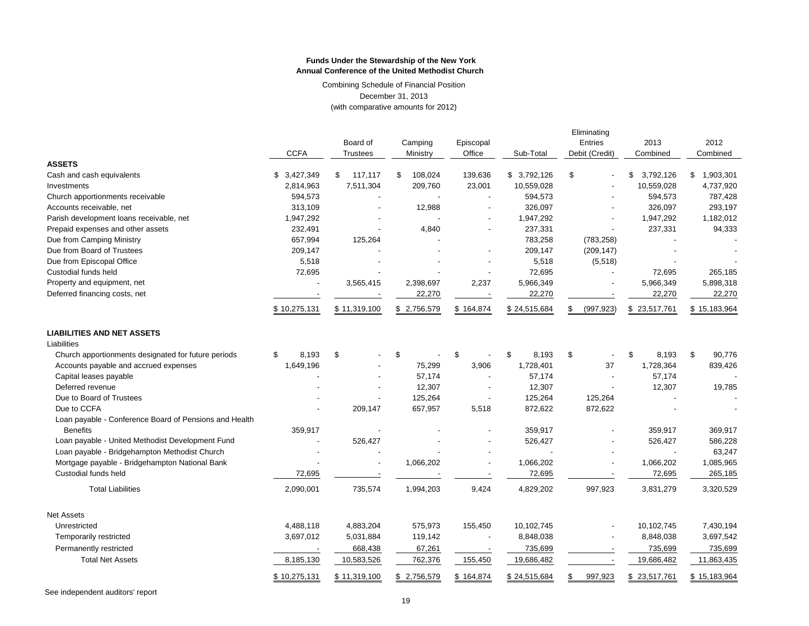Combining Schedule of Financial Position December 31, 2013 (with comparative amounts for 2012)

|                                                        | <b>CCFA</b>  | Board of<br><b>Trustees</b> | Camping<br>Ministry | Episcopal<br>Office | Sub-Total    | Eliminating<br>Entries<br>Debit (Credit) | 2013<br>Combined | 2012<br>Combined |
|--------------------------------------------------------|--------------|-----------------------------|---------------------|---------------------|--------------|------------------------------------------|------------------|------------------|
| <b>ASSETS</b>                                          |              |                             |                     |                     |              |                                          |                  |                  |
| Cash and cash equivalents                              | 3,427,349    | \$<br>117.117               | \$<br>108,024       | 139,636             | \$3,792,126  | \$                                       | \$<br>3,792,126  | \$<br>1,903,301  |
| Investments                                            | 2,814,963    | 7,511,304                   | 209,760             | 23,001              | 10,559,028   |                                          | 10,559,028       | 4,737,920        |
| Church apportionments receivable                       | 594,573      |                             |                     |                     | 594,573      |                                          | 594,573          | 787,428          |
| Accounts receivable, net                               | 313,109      |                             | 12,988              |                     | 326,097      |                                          | 326,097          | 293,197          |
| Parish development loans receivable, net               | 1,947,292    |                             |                     |                     | 1,947,292    |                                          | 1,947,292        | 1,182,012        |
| Prepaid expenses and other assets                      | 232,491      |                             | 4,840               |                     | 237,331      |                                          | 237,331          | 94,333           |
| Due from Camping Ministry                              | 657,994      | 125,264                     |                     |                     | 783,258      | (783, 258)                               |                  |                  |
| Due from Board of Trustees                             | 209,147      |                             |                     |                     | 209,147      | (209, 147)                               |                  |                  |
| Due from Episcopal Office                              | 5,518        |                             |                     |                     | 5,518        | (5,518)                                  |                  |                  |
| Custodial funds held                                   | 72,695       |                             |                     |                     | 72,695       |                                          | 72,695           | 265,185          |
| Property and equipment, net                            |              | 3,565,415                   | 2,398,697           | 2,237               | 5,966,349    |                                          | 5,966,349        | 5,898,318        |
| Deferred financing costs, net                          |              |                             | 22,270              |                     | 22,270       |                                          | 22,270           | 22,270           |
|                                                        | \$10,275,131 | \$11,319,100                | \$2,756,579         | \$164,874           | \$24,515,684 | \$<br>(997, 923)                         | \$23,517,761     | \$15,183,964     |
| <b>LIABILITIES AND NET ASSETS</b>                      |              |                             |                     |                     |              |                                          |                  |                  |
| Liabilities                                            |              |                             |                     |                     |              |                                          |                  |                  |
| Church apportionments designated for future periods    | 8,193<br>\$  | \$                          | \$                  | \$                  | 8,193<br>\$  | \$<br>$\blacksquare$                     | \$<br>8,193      | \$<br>90,776     |
| Accounts payable and accrued expenses                  | 1,649,196    |                             | 75,299              | 3,906               | 1,728,401    | 37                                       | 1,728,364        | 839,426          |
| Capital leases payable                                 |              |                             | 57,174              |                     | 57,174       |                                          | 57,174           |                  |
| Deferred revenue                                       |              |                             | 12,307              |                     | 12,307       | $\overline{\phantom{a}}$                 | 12,307           | 19,785           |
| Due to Board of Trustees                               |              |                             | 125,264             |                     | 125,264      | 125,264                                  |                  |                  |
| Due to CCFA                                            |              | 209,147                     | 657,957             | 5,518               | 872,622      | 872,622                                  |                  |                  |
| Loan payable - Conference Board of Pensions and Health |              |                             |                     |                     |              |                                          |                  |                  |
| <b>Benefits</b>                                        | 359,917      |                             |                     |                     | 359,917      |                                          | 359,917          | 369,917          |
| Loan payable - United Methodist Development Fund       |              | 526,427                     |                     |                     | 526,427      |                                          | 526,427          | 586,228          |
| Loan payable - Bridgehampton Methodist Church          |              |                             |                     |                     |              |                                          |                  | 63,247           |
| Mortgage payable - Bridgehampton National Bank         |              |                             | 1,066,202           |                     | 1,066,202    |                                          | 1,066,202        | 1,085,965        |
| Custodial funds held                                   | 72,695       |                             |                     |                     | 72,695       |                                          | 72,695           | 265,185          |
| <b>Total Liabilities</b>                               | 2,090,001    | 735,574                     | 1,994,203           | 9,424               | 4,829,202    | 997,923                                  | 3,831,279        | 3,320,529        |
| <b>Net Assets</b>                                      |              |                             |                     |                     |              |                                          |                  |                  |
| Unrestricted                                           | 4,488,118    | 4,883,204                   | 575,973             | 155,450             | 10,102,745   |                                          | 10,102,745       | 7,430,194        |
| Temporarily restricted                                 | 3,697,012    | 5,031,884                   | 119,142             |                     | 8,848,038    |                                          | 8,848,038        | 3,697,542        |
| Permanently restricted                                 |              | 668,438                     | 67,261              |                     | 735,699      |                                          | 735,699          | 735,699          |
| <b>Total Net Assets</b>                                | 8,185,130    | 10,583,526                  | 762,376             | 155,450             | 19,686,482   |                                          | 19,686,482       | 11,863,435       |
|                                                        | \$10,275,131 | \$11,319,100                | \$2,756,579         | \$164,874           | \$24,515,684 | 997,923<br>\$                            | \$23,517,761     | \$15,183,964     |

See independent auditors' report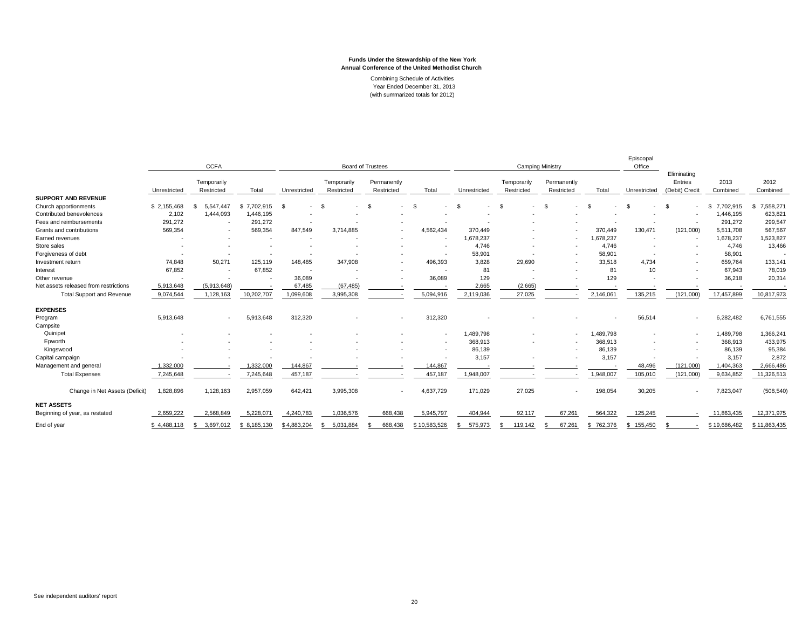|                                       | <b>CCFA</b>  |                           |             | <b>Board of Trustees</b> |                           |                           | <b>Camping Ministry</b> |               |                           |                           | Episcopal<br>Office |                        |                                          |                  |                  |
|---------------------------------------|--------------|---------------------------|-------------|--------------------------|---------------------------|---------------------------|-------------------------|---------------|---------------------------|---------------------------|---------------------|------------------------|------------------------------------------|------------------|------------------|
|                                       | Unrestricted | Temporarily<br>Restricted | Total       | Unrestricted             | Temporarily<br>Restricted | Permanently<br>Restricted | Total                   | Unrestricted  | Temporarily<br>Restricted | Permanently<br>Restricted | Total               | Unrestricted           | Eliminating<br>Entries<br>(Debit) Credit | 2013<br>Combined | 2012<br>Combined |
| <b>SUPPORT AND REVENUE</b>            |              |                           |             |                          |                           |                           |                         |               |                           |                           |                     |                        |                                          |                  |                  |
| Church apportionments                 | \$2,155,468  | 5.547.447                 | \$7.702.915 | - \$<br>$\sim$           | $\mathcal{S}$             | -S                        | \$                      | $\mathcal{S}$ | $\mathfrak{s}$<br>$\sim$  | \$.<br>٠                  | - \$                | - \$<br>$\overline{a}$ | \$.<br>٠                                 | 7,702,915<br>s.  | 7,558,271<br>s.  |
| Contributed benevolences              | 2,102        | 1,444,093                 | 1,446,195   |                          |                           |                           |                         |               |                           |                           |                     |                        |                                          | 1,446,195        | 623,821          |
| Fees and reimbursements               | 291,272      | $\overline{\phantom{a}}$  | 291.272     |                          |                           |                           |                         |               |                           |                           |                     |                        |                                          | 291,272          | 299,547          |
| Grants and contributions              | 569,354      | $\overline{\phantom{a}}$  | 569,354     | 847.549                  | 3.714.885                 | $\overline{\phantom{a}}$  | 4.562.434               | 370.449       | $\overline{\phantom{a}}$  | $\sim$                    | 370,449             | 130,471                | (121,000)                                | 5,511,708        | 567,567          |
| Earned revenues                       |              |                           |             |                          |                           |                           |                         | 1,678,237     |                           | $\overline{\phantom{a}}$  | 1,678,237           |                        | $\sim$                                   | 1,678,237        | 1,523,827        |
| Store sales                           |              |                           |             |                          |                           |                           |                         | 4.746         |                           |                           | 4.746               |                        |                                          | 4,746            | 13,466           |
| Forgiveness of debt                   |              |                           |             |                          |                           |                           |                         | 58,901        |                           |                           | 58,901              |                        |                                          | 58,901           |                  |
| Investment return                     | 74,848       | 50,271                    | 125,119     | 148,485                  | 347.908                   |                           | 496,393                 | 3,828         | 29,690                    | $\overline{\phantom{a}}$  | 33,518              | 4.734                  | ٠                                        | 659,764          | 133,141          |
| Interest                              | 67,852       | $\overline{\phantom{a}}$  | 67,852      | $\sim$                   |                           |                           |                         | 81            |                           |                           | 81                  | 10                     |                                          | 67,943           | 78,019           |
| Other revenue                         |              |                           |             | 36,089                   |                           |                           | 36,089                  | 129           |                           |                           | 129                 |                        |                                          | 36,218           | 20,314           |
| Net assets released from restrictions | 5,913,648    | (5,913,648)               |             | 67,485                   | (67, 485)                 |                           |                         | 2,665         | (2,665)                   |                           |                     |                        |                                          |                  |                  |
| <b>Total Support and Revenue</b>      | 9,074,544    | 1,128,163                 | 10,202,707  | 1,099,608                | 3,995,308                 |                           | 5,094,916               | 2,119,036     | 27,025                    |                           | 2,146,061           | 135,215                | (121,000)                                | 17,457,899       | 10,817,973       |
| <b>EXPENSES</b>                       |              |                           |             |                          |                           |                           |                         |               |                           |                           |                     |                        |                                          |                  |                  |
| Program                               | 5,913,648    | ٠                         | 5,913,648   | 312,320                  |                           |                           | 312,320                 |               |                           |                           |                     | 56,514                 | ٠                                        | 6,282,482        | 6,761,555        |
| Campsite                              |              |                           |             |                          |                           |                           |                         |               |                           |                           |                     |                        |                                          |                  |                  |
| Quinipet                              |              |                           |             |                          |                           |                           | $\sim$                  | 1,489,798     |                           | $\overline{\phantom{a}}$  | 489,798             |                        | ٠                                        | 1,489,798        | 1,366,241        |
| Epworth                               |              |                           |             |                          |                           |                           |                         | 368,913       | $\overline{\phantom{a}}$  | ٠                         | 368,913             |                        | $\overline{\phantom{a}}$                 | 368,913          | 433,975          |
| Kingswood                             |              |                           |             |                          |                           |                           |                         | 86,139        |                           |                           | 86,139              |                        |                                          | 86,139           | 95,384           |
| Capital campaign                      |              |                           |             |                          |                           |                           |                         | 3,157         |                           |                           | 3,157               |                        |                                          | 3,157            | 2,872            |
| Management and general                | 1,332,000    |                           | 1.332.000   | 144,867                  |                           |                           | 144,867                 |               |                           |                           |                     | 48,496                 | (121,000)                                | 1,404,363        | 2,666,486        |
| <b>Total Expenses</b>                 | 7,245,648    | $\overline{\phantom{a}}$  | 7,245,648   | 457,187                  |                           |                           | 457,187                 | 1,948,007     |                           |                           | 1,948,007           | 105,010                | (121,000)                                | 9,634,852        | 11,326,513       |
| Change in Net Assets (Deficit)        | 1,828,896    | 1,128,163                 | 2,957,059   | 642,421                  | 3,995,308                 |                           | 4,637,729               | 171,029       | 27,025                    | $\overline{\phantom{a}}$  | 198,054             | 30,205                 |                                          | 7,823,047        | (508, 540)       |
| <b>NET ASSETS</b>                     |              |                           |             |                          |                           |                           |                         |               |                           |                           |                     |                        |                                          |                  |                  |
| Beginning of year, as restated        | 2,659,222    | 2,568,849                 | 5,228,071   | 4,240,783                | 1,036,576                 | 668,438                   | 5,945,797               | 404,944       | 92,117                    | 67,261                    | 564,322             | 125,245                |                                          | 11,863,435       | 12,371,975       |
| End of year                           | \$4,488,118  | 3,697,012                 | \$8,185,130 | \$4,883,204              | 5,031,884                 | 668,438                   | \$10,583,526            | 575,973       | 119,142                   | 67,261                    | \$762,376           | 155,450<br>S.          |                                          | \$19,686,482     | \$11,863,435     |

Combining Schedule of Activities Year Ended December 31, 2013 (with summarized totals for 2012)